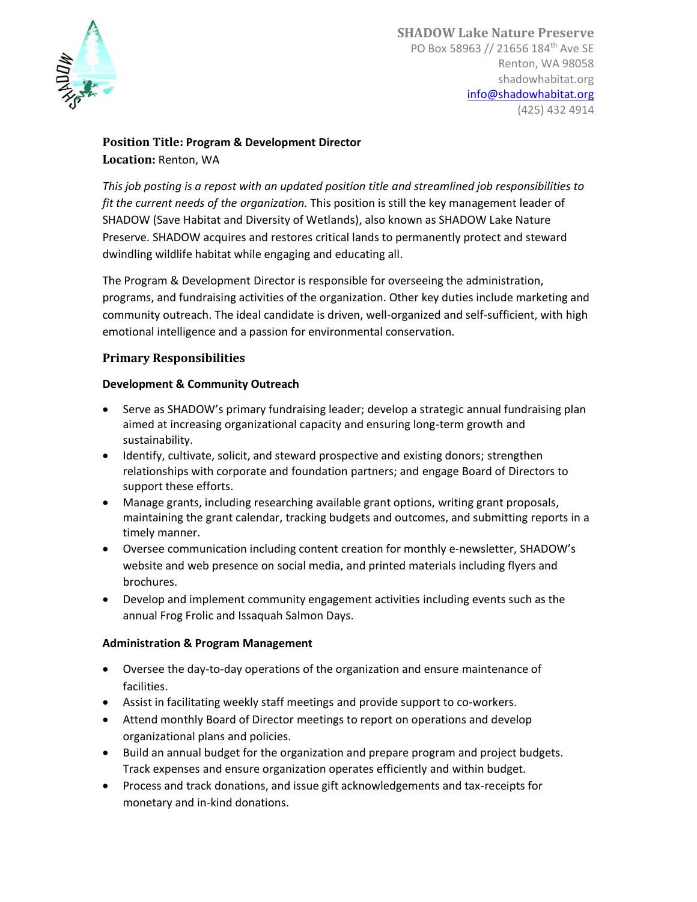

## **Position Title: Program & Development Director Location:** Renton, WA

*This job posting is a repost with an updated position title and streamlined job responsibilities to fit the current needs of the organization.* This position is still the key management leader of SHADOW (Save Habitat and Diversity of Wetlands), also known as SHADOW Lake Nature Preserve. SHADOW acquires and restores critical lands to permanently protect and steward dwindling wildlife habitat while engaging and educating all.

The Program & Development Director is responsible for overseeing the administration, programs, and fundraising activities of the organization. Other key duties include marketing and community outreach. The ideal candidate is driven, well-organized and self-sufficient, with high emotional intelligence and a passion for environmental conservation.

#### **Primary Responsibilities**

#### **Development & Community Outreach**

- Serve as SHADOW's primary fundraising leader; develop a strategic annual fundraising plan aimed at increasing organizational capacity and ensuring long-term growth and sustainability.
- Identify, cultivate, solicit, and steward prospective and existing donors; strengthen relationships with corporate and foundation partners; and engage Board of Directors to support these efforts.
- Manage grants, including researching available grant options, writing grant proposals, maintaining the grant calendar, tracking budgets and outcomes, and submitting reports in a timely manner.
- Oversee communication including content creation for monthly e-newsletter, SHADOW's website and web presence on social media, and printed materials including flyers and brochures.
- Develop and implement community engagement activities including events such as the annual Frog Frolic and Issaquah Salmon Days.

#### **Administration & Program Management**

- Oversee the day-to-day operations of the organization and ensure maintenance of facilities.
- Assist in facilitating weekly staff meetings and provide support to co-workers.
- Attend monthly Board of Director meetings to report on operations and develop organizational plans and policies.
- Build an annual budget for the organization and prepare program and project budgets. Track expenses and ensure organization operates efficiently and within budget.
- Process and track donations, and issue gift acknowledgements and tax-receipts for monetary and in-kind donations.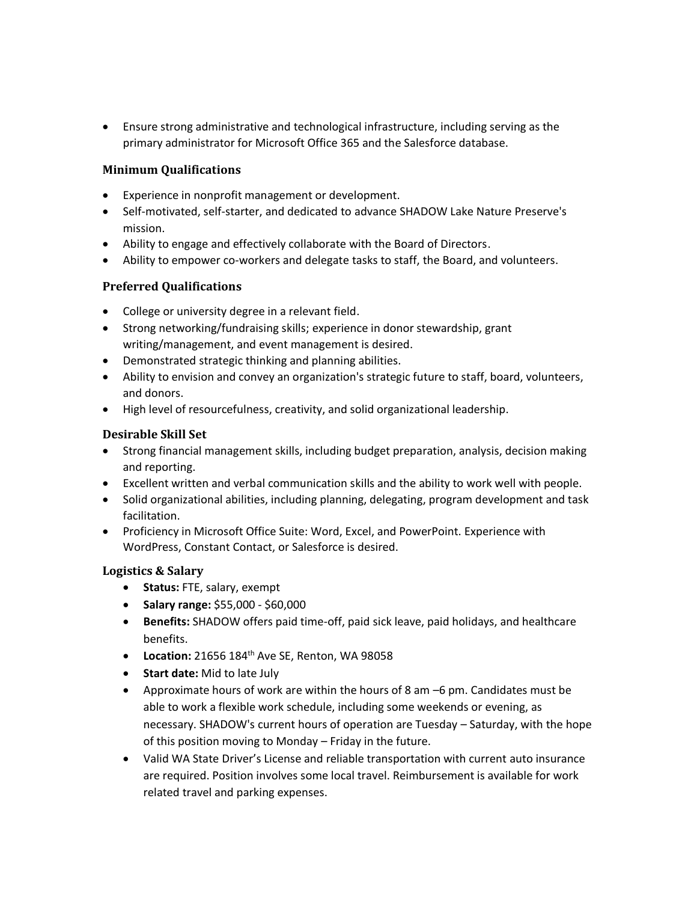• Ensure strong administrative and technological infrastructure, including serving as the primary administrator for Microsoft Office 365 and the Salesforce database.

## **Minimum Qualifications**

- Experience in nonprofit management or development.
- Self-motivated, self-starter, and dedicated to advance SHADOW Lake Nature Preserve's mission.
- Ability to engage and effectively collaborate with the Board of Directors.
- Ability to empower co-workers and delegate tasks to staff, the Board, and volunteers.

## **Preferred Qualifications**

- College or university degree in a relevant field.
- Strong networking/fundraising skills; experience in donor stewardship, grant writing/management, and event management is desired.
- Demonstrated strategic thinking and planning abilities.
- Ability to envision and convey an organization's strategic future to staff, board, volunteers, and donors.
- High level of resourcefulness, creativity, and solid organizational leadership.

#### **Desirable Skill Set**

- Strong financial management skills, including budget preparation, analysis, decision making and reporting.
- Excellent written and verbal communication skills and the ability to work well with people.
- Solid organizational abilities, including planning, delegating, program development and task facilitation.
- Proficiency in Microsoft Office Suite: Word, Excel, and PowerPoint. Experience with WordPress, Constant Contact, or Salesforce is desired.

## **Logistics & Salary**

- **Status:** FTE, salary, exempt
- **Salary range:** \$55,000 \$60,000
- **Benefits:** SHADOW offers paid time-off, paid sick leave, paid holidays, and healthcare benefits.
- **Location:** 21656 184th Ave SE, Renton, WA 98058
- **Start date:** Mid to late July
- Approximate hours of work are within the hours of 8 am –6 pm. Candidates must be able to work a flexible work schedule, including some weekends or evening, as necessary. SHADOW's current hours of operation are Tuesday – Saturday, with the hope of this position moving to Monday – Friday in the future.
- Valid WA State Driver's License and reliable transportation with current auto insurance are required. Position involves some local travel. Reimbursement is available for work related travel and parking expenses.